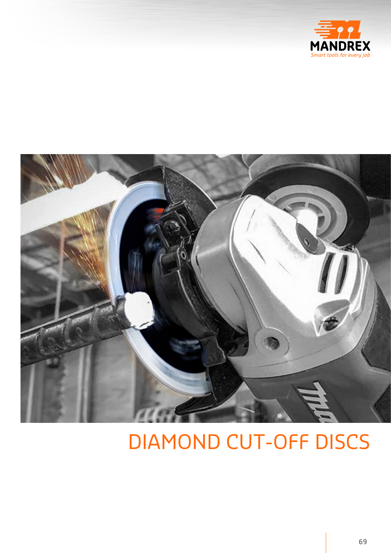



## DIAMOND CUT-OFF DISCS